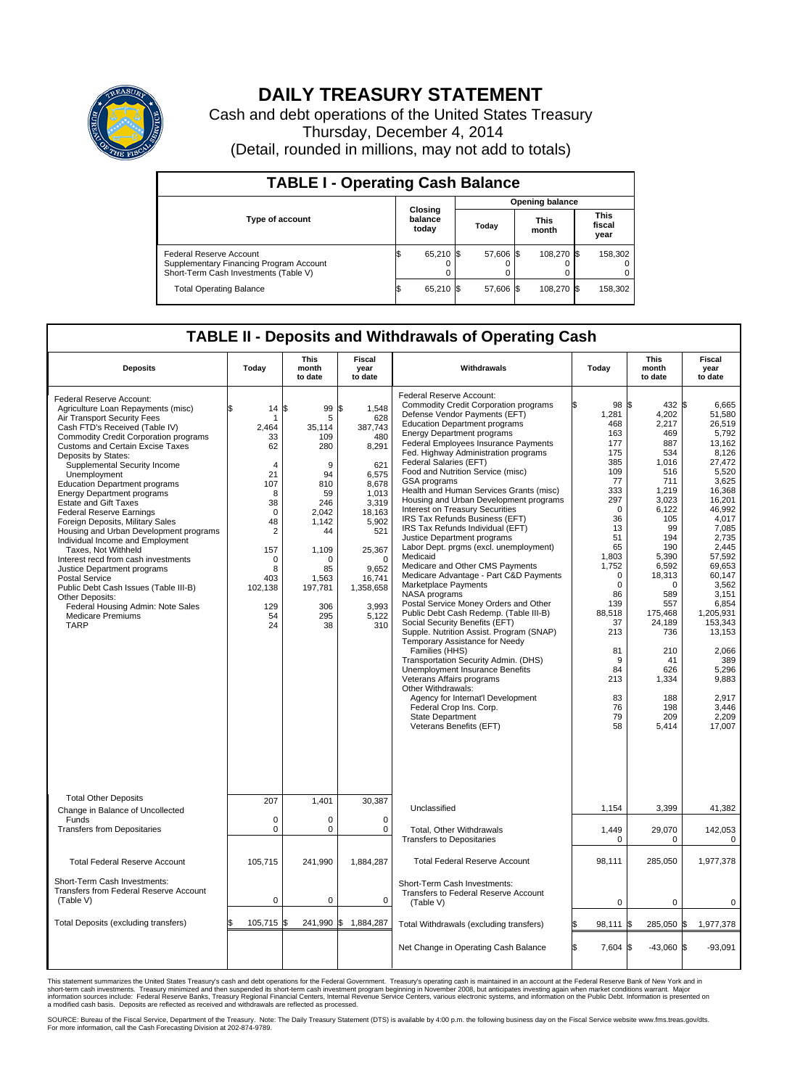

## **DAILY TREASURY STATEMENT**

Cash and debt operations of the United States Treasury Thursday, December 4, 2014 (Detail, rounded in millions, may not add to totals)

| <b>TABLE I - Operating Cash Balance</b>                                                                     |                        |                             |       |           |                      |            |  |                               |  |  |  |
|-------------------------------------------------------------------------------------------------------------|------------------------|-----------------------------|-------|-----------|----------------------|------------|--|-------------------------------|--|--|--|
|                                                                                                             | <b>Opening balance</b> |                             |       |           |                      |            |  |                               |  |  |  |
| Type of account                                                                                             |                        | Closing<br>balance<br>today | Today |           | <b>This</b><br>month |            |  | <b>This</b><br>fiscal<br>year |  |  |  |
| Federal Reserve Account<br>Supplementary Financing Program Account<br>Short-Term Cash Investments (Table V) |                        | 65,210 \$                   |       | 57.606 \$ |                      | 108.270 \$ |  | 158,302                       |  |  |  |
| <b>Total Operating Balance</b>                                                                              | 12.                    | 65,210 \$                   |       | 57,606 \$ |                      | 108,270 \$ |  | 158,302                       |  |  |  |

## **TABLE II - Deposits and Withdrawals of Operating Cash**

| <b>Deposits</b>                                                                                                                                                                                                                                                                                                                                                                                                                                                                                                                                                                                                                                                                                                                                                                                                                       | Today                                                                                                                                                                    | <b>This</b><br>month<br>to date                                                                                                                           | <b>Fiscal</b><br>year<br>to date                                                                                                                                                                  | Withdrawals                                                                                                                                                                                                                                                                                                                                                                                                                                                                                                                                                                                                                                                                                                                                                                                                                                                                                                                                                                                                                                                                                                                                                                                                                                    | Today                                                                                                                                                                                                                                                | <b>This</b><br>month<br>to date                                                                                                                                                                                                                                         | <b>Fiscal</b><br>year<br>to date                                                                                                                                                                                                                                                                                      |
|---------------------------------------------------------------------------------------------------------------------------------------------------------------------------------------------------------------------------------------------------------------------------------------------------------------------------------------------------------------------------------------------------------------------------------------------------------------------------------------------------------------------------------------------------------------------------------------------------------------------------------------------------------------------------------------------------------------------------------------------------------------------------------------------------------------------------------------|--------------------------------------------------------------------------------------------------------------------------------------------------------------------------|-----------------------------------------------------------------------------------------------------------------------------------------------------------|---------------------------------------------------------------------------------------------------------------------------------------------------------------------------------------------------|------------------------------------------------------------------------------------------------------------------------------------------------------------------------------------------------------------------------------------------------------------------------------------------------------------------------------------------------------------------------------------------------------------------------------------------------------------------------------------------------------------------------------------------------------------------------------------------------------------------------------------------------------------------------------------------------------------------------------------------------------------------------------------------------------------------------------------------------------------------------------------------------------------------------------------------------------------------------------------------------------------------------------------------------------------------------------------------------------------------------------------------------------------------------------------------------------------------------------------------------|------------------------------------------------------------------------------------------------------------------------------------------------------------------------------------------------------------------------------------------------------|-------------------------------------------------------------------------------------------------------------------------------------------------------------------------------------------------------------------------------------------------------------------------|-----------------------------------------------------------------------------------------------------------------------------------------------------------------------------------------------------------------------------------------------------------------------------------------------------------------------|
| Federal Reserve Account:<br>Agriculture Loan Repayments (misc)<br>Air Transport Security Fees<br>Cash FTD's Received (Table IV)<br><b>Commodity Credit Corporation programs</b><br><b>Customs and Certain Excise Taxes</b><br>Deposits by States:<br>Supplemental Security Income<br>Unemployment<br><b>Education Department programs</b><br><b>Energy Department programs</b><br><b>Estate and Gift Taxes</b><br><b>Federal Reserve Earnings</b><br>Foreign Deposits, Military Sales<br>Housing and Urban Development programs<br>Individual Income and Employment<br>Taxes, Not Withheld<br>Interest recd from cash investments<br>Justice Department programs<br><b>Postal Service</b><br>Public Debt Cash Issues (Table III-B)<br>Other Deposits:<br>Federal Housing Admin: Note Sales<br><b>Medicare Premiums</b><br><b>TARP</b> | 14<br>2,464<br>33<br>62<br>$\overline{4}$<br>21<br>107<br>8<br>38<br>$\mathbf 0$<br>48<br>$\overline{2}$<br>157<br>$\mathbf 0$<br>8<br>403<br>102,138<br>129<br>54<br>24 | l\$<br>99<br>5<br>35,114<br>109<br>280<br>9<br>94<br>810<br>59<br>246<br>2.042<br>1,142<br>44<br>1,109<br>O<br>85<br>1,563<br>197,781<br>306<br>295<br>38 | \$<br>1,548<br>628<br>387,743<br>480<br>8,291<br>621<br>6,575<br>8.678<br>1,013<br>3,319<br>18.163<br>5,902<br>521<br>25,367<br>$\Omega$<br>9.652<br>16,741<br>1,358,658<br>3,993<br>5,122<br>310 | Federal Reserve Account:<br><b>Commodity Credit Corporation programs</b><br>Defense Vendor Payments (EFT)<br><b>Education Department programs</b><br><b>Energy Department programs</b><br>Federal Employees Insurance Payments<br>Fed. Highway Administration programs<br>Federal Salaries (EFT)<br>Food and Nutrition Service (misc)<br><b>GSA</b> programs<br>Health and Human Services Grants (misc)<br>Housing and Urban Development programs<br>Interest on Treasury Securities<br>IRS Tax Refunds Business (EFT)<br>IRS Tax Refunds Individual (EFT)<br>Justice Department programs<br>Labor Dept. prgms (excl. unemployment)<br>Medicaid<br>Medicare and Other CMS Payments<br>Medicare Advantage - Part C&D Payments<br>Marketplace Payments<br>NASA programs<br>Postal Service Money Orders and Other<br>Public Debt Cash Redemp. (Table III-B)<br>Social Security Benefits (EFT)<br>Supple. Nutrition Assist. Program (SNAP)<br>Temporary Assistance for Needy<br>Families (HHS)<br>Transportation Security Admin. (DHS)<br>Unemployment Insurance Benefits<br>Veterans Affairs programs<br>Other Withdrawals:<br>Agency for Internat'l Development<br>Federal Crop Ins. Corp.<br><b>State Department</b><br>Veterans Benefits (EFT) | 98 \$<br>1,281<br>468<br>163<br>177<br>175<br>385<br>109<br>77<br>333<br>297<br>$\mathbf 0$<br>36<br>13<br>51<br>65<br>1,803<br>1,752<br>$\Omega$<br>$\mathbf 0$<br>86<br>139<br>88,518<br>37<br>213<br>81<br>9<br>84<br>213<br>83<br>76<br>79<br>58 | 432 \$<br>4,202<br>2,217<br>469<br>887<br>534<br>1.016<br>516<br>711<br>1,219<br>3,023<br>6,122<br>105<br>99<br>194<br>190<br>5,390<br>6,592<br>18,313<br>$\Omega$<br>589<br>557<br>175,468<br>24,189<br>736<br>210<br>41<br>626<br>1,334<br>188<br>198<br>209<br>5,414 | 6.665<br>51,580<br>26,519<br>5.792<br>13,162<br>8.126<br>27.472<br>5,520<br>3,625<br>16,368<br>16,201<br>46,992<br>4.017<br>7,085<br>2,735<br>2,445<br>57,592<br>69,653<br>60.147<br>3,562<br>3.151<br>6,854<br>1.205.931<br>153,343<br>13,153<br>2,066<br>389<br>5,296<br>9,883<br>2.917<br>3,446<br>2,209<br>17,007 |
| <b>Total Other Deposits</b>                                                                                                                                                                                                                                                                                                                                                                                                                                                                                                                                                                                                                                                                                                                                                                                                           | 207                                                                                                                                                                      | 1,401                                                                                                                                                     | 30,387                                                                                                                                                                                            | Unclassified                                                                                                                                                                                                                                                                                                                                                                                                                                                                                                                                                                                                                                                                                                                                                                                                                                                                                                                                                                                                                                                                                                                                                                                                                                   | 1,154                                                                                                                                                                                                                                                | 3,399                                                                                                                                                                                                                                                                   | 41,382                                                                                                                                                                                                                                                                                                                |
| Change in Balance of Uncollected<br>Funds                                                                                                                                                                                                                                                                                                                                                                                                                                                                                                                                                                                                                                                                                                                                                                                             | $\mathbf 0$                                                                                                                                                              | 0                                                                                                                                                         | $\Omega$                                                                                                                                                                                          |                                                                                                                                                                                                                                                                                                                                                                                                                                                                                                                                                                                                                                                                                                                                                                                                                                                                                                                                                                                                                                                                                                                                                                                                                                                |                                                                                                                                                                                                                                                      |                                                                                                                                                                                                                                                                         |                                                                                                                                                                                                                                                                                                                       |
| <b>Transfers from Depositaries</b>                                                                                                                                                                                                                                                                                                                                                                                                                                                                                                                                                                                                                                                                                                                                                                                                    | $\mathbf 0$                                                                                                                                                              | 0                                                                                                                                                         | 0                                                                                                                                                                                                 | Total, Other Withdrawals<br><b>Transfers to Depositaries</b>                                                                                                                                                                                                                                                                                                                                                                                                                                                                                                                                                                                                                                                                                                                                                                                                                                                                                                                                                                                                                                                                                                                                                                                   | 1,449<br>$\mathbf 0$                                                                                                                                                                                                                                 | 29,070<br>$\mathbf 0$                                                                                                                                                                                                                                                   | 142,053<br>$\pmb{0}$                                                                                                                                                                                                                                                                                                  |
| <b>Total Federal Reserve Account</b>                                                                                                                                                                                                                                                                                                                                                                                                                                                                                                                                                                                                                                                                                                                                                                                                  | 105,715                                                                                                                                                                  | 241.990                                                                                                                                                   | 1,884,287                                                                                                                                                                                         | <b>Total Federal Reserve Account</b>                                                                                                                                                                                                                                                                                                                                                                                                                                                                                                                                                                                                                                                                                                                                                                                                                                                                                                                                                                                                                                                                                                                                                                                                           | 98.111                                                                                                                                                                                                                                               | 285,050                                                                                                                                                                                                                                                                 | 1,977,378                                                                                                                                                                                                                                                                                                             |
| Short-Term Cash Investments:<br><b>Transfers from Federal Reserve Account</b><br>(Table V)                                                                                                                                                                                                                                                                                                                                                                                                                                                                                                                                                                                                                                                                                                                                            | $\pmb{0}$                                                                                                                                                                | 0                                                                                                                                                         | 0                                                                                                                                                                                                 | Short-Term Cash Investments:<br>Transfers to Federal Reserve Account<br>(Table V)                                                                                                                                                                                                                                                                                                                                                                                                                                                                                                                                                                                                                                                                                                                                                                                                                                                                                                                                                                                                                                                                                                                                                              | 0                                                                                                                                                                                                                                                    | $\mathbf 0$                                                                                                                                                                                                                                                             | 0                                                                                                                                                                                                                                                                                                                     |
| Total Deposits (excluding transfers)                                                                                                                                                                                                                                                                                                                                                                                                                                                                                                                                                                                                                                                                                                                                                                                                  | 105,715<br>\$                                                                                                                                                            | 1\$                                                                                                                                                       | 241,990 \$ 1,884,287                                                                                                                                                                              | Total Withdrawals (excluding transfers)                                                                                                                                                                                                                                                                                                                                                                                                                                                                                                                                                                                                                                                                                                                                                                                                                                                                                                                                                                                                                                                                                                                                                                                                        | 98,111 \$                                                                                                                                                                                                                                            | 285,050 \$                                                                                                                                                                                                                                                              | 1,977,378                                                                                                                                                                                                                                                                                                             |
|                                                                                                                                                                                                                                                                                                                                                                                                                                                                                                                                                                                                                                                                                                                                                                                                                                       |                                                                                                                                                                          |                                                                                                                                                           |                                                                                                                                                                                                   | Net Change in Operating Cash Balance                                                                                                                                                                                                                                                                                                                                                                                                                                                                                                                                                                                                                                                                                                                                                                                                                                                                                                                                                                                                                                                                                                                                                                                                           | Ŝ.<br>7,604 \$                                                                                                                                                                                                                                       | $-43,060$ \$                                                                                                                                                                                                                                                            | $-93,091$                                                                                                                                                                                                                                                                                                             |

This statement summarizes the United States Treasury's cash and debt operations for the Federal Government. Treasury's operating cash is maintained in an account at the Federal Reserve Bank of New York and in<br>short-term ca

SOURCE: Bureau of the Fiscal Service, Department of the Treasury. Note: The Daily Treasury Statement (DTS) is available by 4:00 p.m. the following business day on the Fiscal Service website www.fms.treas.gov/dts.<br>For more